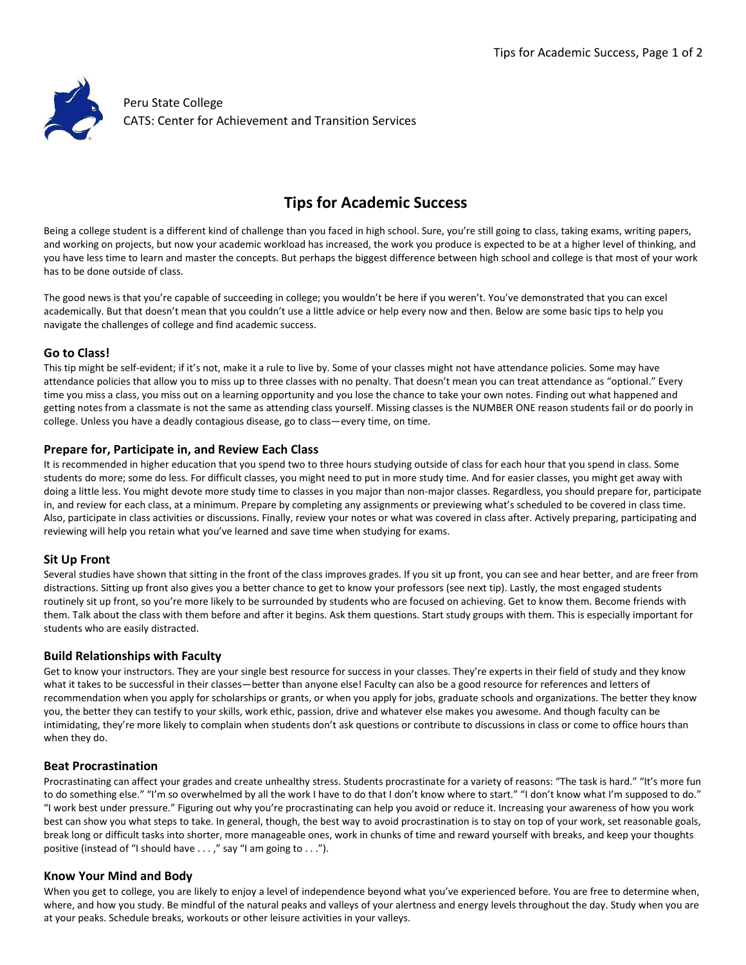

# **Tips for Academic Success**

Being a college student is a different kind of challenge than you faced in high school. Sure, you're still going to class, taking exams, writing papers, and working on projects, but now your academic workload has increased, the work you produce is expected to be at a higher level of thinking, and you have less time to learn and master the concepts. But perhaps the biggest difference between high school and college is that most of your work has to be done outside of class.

The good news is that you're capable of succeeding in college; you wouldn't be here if you weren't. You've demonstrated that you can excel academically. But that doesn't mean that you couldn't use a little advice or help every now and then. Below are some basic tips to help you navigate the challenges of college and find academic success.

## **Go to Class!**

This tip might be self-evident; if it's not, make it a rule to live by. Some of your classes might not have attendance policies. Some may have attendance policies that allow you to miss up to three classes with no penalty. That doesn't mean you can treat attendance as "optional." Every time you miss a class, you miss out on a learning opportunity and you lose the chance to take your own notes. Finding out what happened and getting notes from a classmate is not the same as attending class yourself. Missing classes is the NUMBER ONE reason students fail or do poorly in college. Unless you have a deadly contagious disease, go to class—every time, on time.

## **Prepare for, Participate in, and Review Each Class**

It is recommended in higher education that you spend two to three hours studying outside of class for each hour that you spend in class. Some students do more; some do less. For difficult classes, you might need to put in more study time. And for easier classes, you might get away with doing a little less. You might devote more study time to classes in you major than non-major classes. Regardless, you should prepare for, participate in, and review for each class, at a minimum. Prepare by completing any assignments or previewing what's scheduled to be covered in class time. Also, participate in class activities or discussions. Finally, review your notes or what was covered in class after. Actively preparing, participating and reviewing will help you retain what you've learned and save time when studying for exams.

## **Sit Up Front**

Several studies have shown that sitting in the front of the class improves grades. If you sit up front, you can see and hear better, and are freer from distractions. Sitting up front also gives you a better chance to get to know your professors (see next tip). Lastly, the most engaged students routinely sit up front, so you're more likely to be surrounded by students who are focused on achieving. Get to know them. Become friends with them. Talk about the class with them before and after it begins. Ask them questions. Start study groups with them. This is especially important for students who are easily distracted.

## **Build Relationships with Faculty**

Get to know your instructors. They are your single best resource for success in your classes. They're experts in their field of study and they know what it takes to be successful in their classes—better than anyone else! Faculty can also be a good resource for references and letters of recommendation when you apply for scholarships or grants, or when you apply for jobs, graduate schools and organizations. The better they know you, the better they can testify to your skills, work ethic, passion, drive and whatever else makes you awesome. And though faculty can be intimidating, they're more likely to complain when students don't ask questions or contribute to discussions in class or come to office hours than when they do.

#### **Beat Procrastination**

Procrastinating can affect your grades and create unhealthy stress. Students procrastinate for a variety of reasons: "The task is hard." "It's more fun to do something else." "I'm so overwhelmed by all the work I have to do that I don't know where to start." "I don't know what I'm supposed to do." "I work best under pressure." Figuring out why you're procrastinating can help you avoid or reduce it. Increasing your awareness of how you work best can show you what steps to take. In general, though, the best way to avoid procrastination is to stay on top of your work, set reasonable goals, break long or difficult tasks into shorter, more manageable ones, work in chunks of time and reward yourself with breaks, and keep your thoughts positive (instead of "I should have . . . ," say "I am going to . . .").

#### **Know Your Mind and Body**

When you get to college, you are likely to enjoy a level of independence beyond what you've experienced before. You are free to determine when, where, and how you study. Be mindful of the natural peaks and valleys of your alertness and energy levels throughout the day. Study when you are at your peaks. Schedule breaks, workouts or other leisure activities in your valleys.